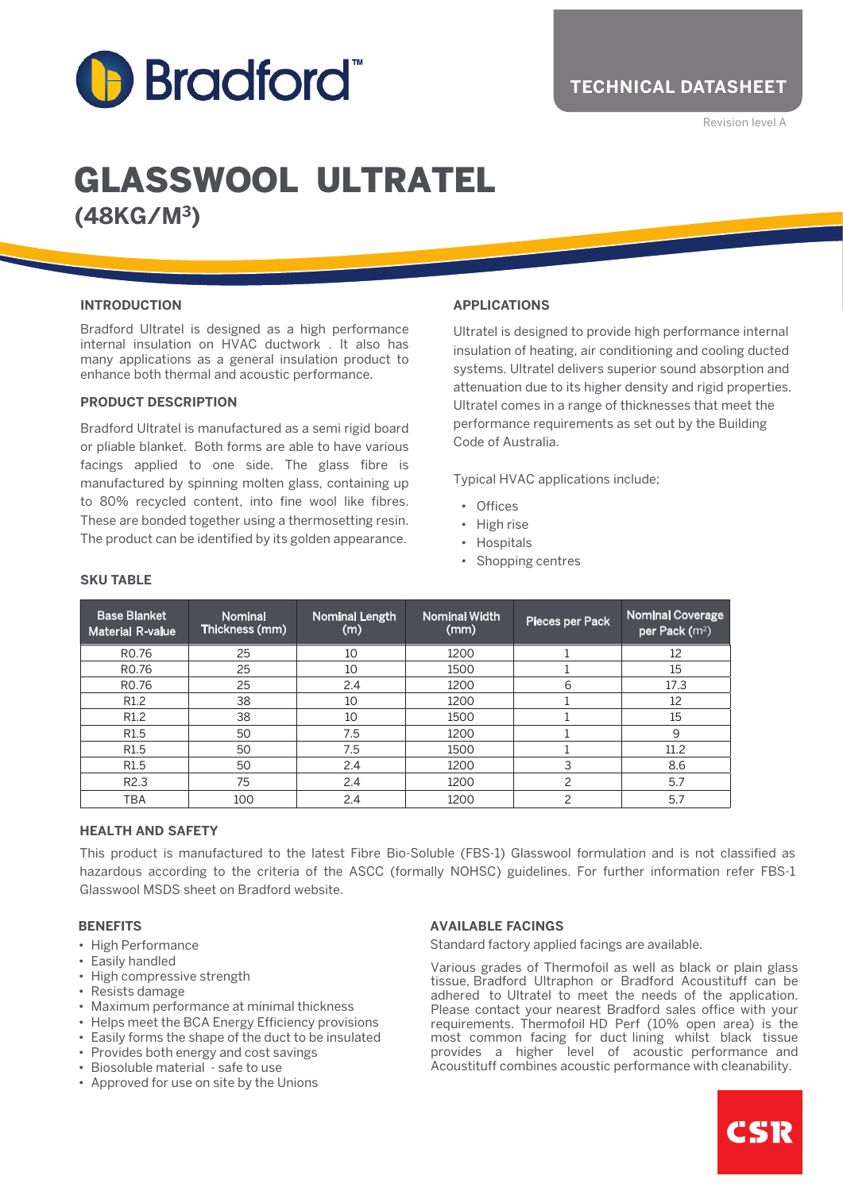

# GLASSWOOL ULTRATEL **(48KG/M3)**

#### **INTRODUCTION**

Bradford Ultratel is designed as a high performance internal insulation on HVAC ductwork . It also has many applications as a general insulation product to enhance both thermal and acoustic performance.

#### **PRODUCT DESCRIPTION**

Bradford Ultratel is manufactured as a semi rigid board or pliable blanket. Both forms are able to have various facings applied to one side. The glass fibre is manufactured by spinning molten glass, containing up to 80% recycled content, into fine wool like fibres. These are bonded together using a thermosetting resin. The product can be identified by its golden appearance.

#### **APPLICATIONS**

Ultratel is designed to provide high performance internal insulation of heating, air conditioning and cooling ducted systems. Ultratel delivers superior sound absorption and attenuation due to its higher density and rigid properties. Ultratel comes in a range of thicknesses that meet the performance requirements as set out by the Building Code of Australia.

Typical HVAC applications include;

- Offices
- High rise
- Hospitals
- Shopping centres

| <b>Base Blanket</b><br><b>Material R-value</b> | <b>Nominal</b><br>Thickness (mm) | <b>Nominal Length</b><br>(m) | <b>Nominal Width</b><br>(mm) | Pieces per Pack | <b>Nominal Coverage</b><br>per Pack (m <sup>2</sup> ) |
|------------------------------------------------|----------------------------------|------------------------------|------------------------------|-----------------|-------------------------------------------------------|
| R <sub>0.76</sub>                              | 25                               | 10                           | 1200                         |                 | 12                                                    |
| R <sub>0.76</sub>                              | 25                               | 10                           | 1500                         |                 | 15                                                    |
| R <sub>0.76</sub>                              | 25                               | 2.4                          | 1200                         | 6               | 17.3                                                  |
| R <sub>1.2</sub>                               | 38                               | 10                           | 1200                         |                 | 12                                                    |
| R <sub>1.2</sub>                               | 38                               | 10                           | 1500                         |                 | 15                                                    |
| R <sub>1.5</sub>                               | 50                               | 7.5                          | 1200                         |                 | 9                                                     |
| R <sub>1.5</sub>                               | 50                               | 7.5                          | 1500                         |                 | 11.2                                                  |
| R <sub>1.5</sub>                               | 50                               | 2.4                          | 1200                         | 3               | 8.6                                                   |
| R <sub>2.3</sub>                               | 75                               | 2.4                          | 1200                         | 2               | 5.7                                                   |
| <b>TBA</b>                                     | 100                              | 2.4                          | 1200                         | 2               | 5.7                                                   |

# **SKU TABLE**

# **HEALTH AND SAFETY**

This product is manufactured to the latest Fibre Bio-Soluble (FBS-1) Glasswool formulation and is not classified as hazardous according to the criteria of the ASCC (formally NOHSC) guidelines. For further information refer FBS-1 Glasswool MSDS sheet on Bradford website.

#### **BENEFITS**

- High Performance
- Easily handled
- High compressive strength
- Resists damage
- Maximum performance at minimal thickness
- Helps meet the BCA Energy Efficiency provisions
- Easily forms the shape of the duct to be insulated
- Provides both energy and cost savings
- Biosoluble material safe to use
- Approved for use on site by the Unions

#### **AVAILABLE FACINGS**

Standard factory applied facings are available.

Various grades of Thermofoil as well as black or plain glass tissue, Bradford Ultraphon or Bradford Acoustituff can be adhered to Ultratel to meet the needs of the application. Please contact your nearest Bradford sales office with your requirements. Thermofoil HD Perf (10% open area) is the most common facing for duct lining whilst black tissue provides a higher level of acoustic performance and Acoustituff combines acoustic performance with cleanability.